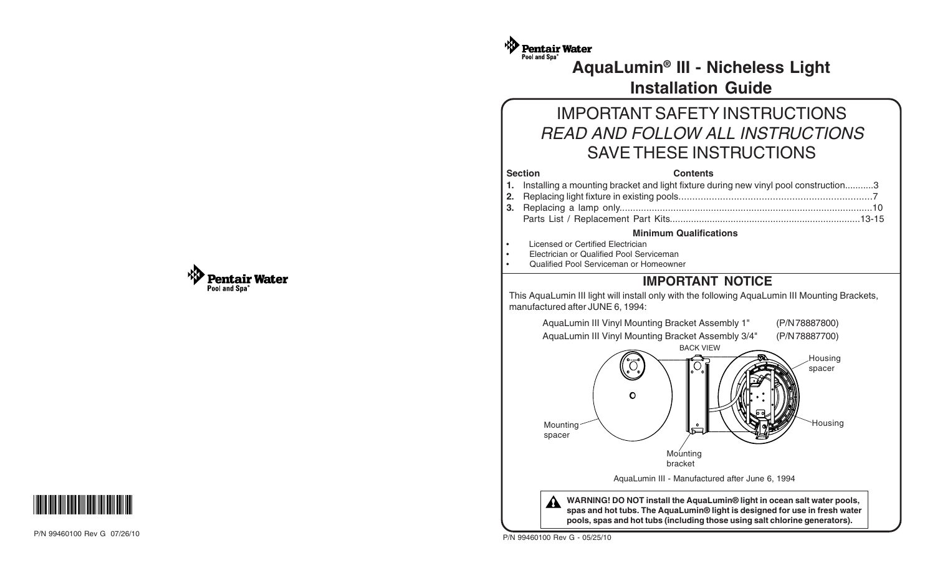**Approprime Space Address** Rentair Water<br>AquaLumin® III - Nicheless Light **Installation Guide**

# IMPORTANT SAFETY INSTRUCTIONSREAD AND FOLLOW ALL INSTRUCTIONSSAVE THESE INSTRUCTIONS

| <b>Contents</b> |
|-----------------|
|                 |

| 1. Installing a mounting bracket and light fixture during new vinyl pool construction3 |  |
|----------------------------------------------------------------------------------------|--|
|                                                                                        |  |

#### **Minimum Qualifications**

- **•** Licensed or Certified Electrician
- **•** Electrician or Qualified Pool Serviceman
- **•** Qualified Pool Serviceman or Homeowner

## **IMPORTANT NOTICE**

This AquaLumin III light will install only with the following AquaLumin III Mounting Brackets, manufactured after JUNE 6, 1994:







P/N 99460100 Rev G - 05/25/10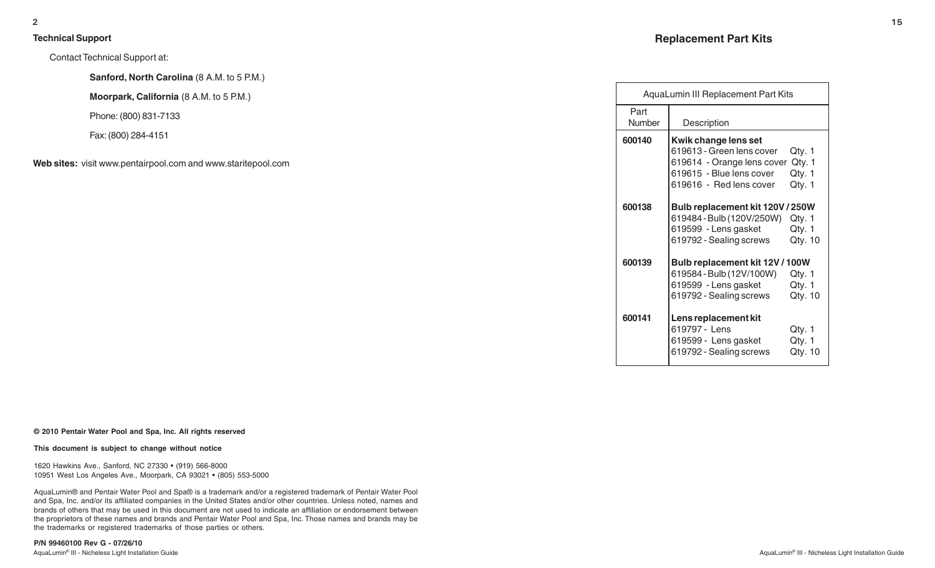#### **Technical Support**

Contact Technical Support at:

**Sanford, North Carolina** (8 A.M. to 5 P.M.)

**Moorpark, California** (8 A.M. to 5 P.M.)

Phone: (800) 831-7133

Fax: (800) 284-4151

**Web sites:** visit www.pentairpool.com and www.staritepool.com

| AquaLumin III Replacement Part Kits |                                                                                                                                               |                             |  |
|-------------------------------------|-----------------------------------------------------------------------------------------------------------------------------------------------|-----------------------------|--|
| Part<br>Number                      | Description                                                                                                                                   |                             |  |
| 600140                              | Kwik change lens set<br>619613 - Green lens cover<br>619614 - Orange lens cover Qty. 1<br>619615 - Blue lens cover<br>619616 - Red lens cover | Qty. 1<br>Qty. 1<br>Qty. 1  |  |
| 600138                              | Bulb replacement kit 120V / 250W<br>619484 - Bulb (120V/250W)<br>619599 - Lens gasket<br>619792 - Sealing screws                              | Qty. 1<br>Qty. 1<br>Qty. 10 |  |
| 600139                              | Bulb replacement kit 12V / 100W<br>619584 - Bulb (12V/100W)<br>619599 - Lens gasket<br>619792 - Sealing screws                                | Qty. 1<br>Qty. 1<br>Qty. 10 |  |
| 600141                              | Lens replacement kit<br>619797 - Lens<br>619599 - Lens gasket<br>619792 - Sealing screws                                                      | Qty. 1<br>Qty. 1<br>Qty. 10 |  |

**© 2010 Pentair Water Pool and Spa, Inc. All rights reserved**

**This document is subject to change without notice**

1620 Hawkins Ave., Sanford, NC 27330 • (919) 566-8000 10951 West Los Angeles Ave., Moorpark, CA 93021 • (805) 553-5000

AquaLumin® and Pentair Water Pool and Spa® is a trademark and/or a registered trademark of Pentair Water Pool and Spa, Inc. and/or its affiliated companies in the United States and/or other countries. Unless noted, names and brands of others that may be used in this document are not used to indicate an affiliation or endorsement between the proprietors of these names and brands and Pentair Water Pool and Spa, Inc. Those names and brands may be the trademarks or registered trademarks of those parties or others.

AquaLumin<sup>®</sup> III - Nicheless Light Installation Guide **in the set of the Contract Contract Contract Contract Installation Guide** And a set of the Nicheless Light Installation Guide **in the Set of the Set of the Set of the P/N 99460100 Rev G - 07/26/10**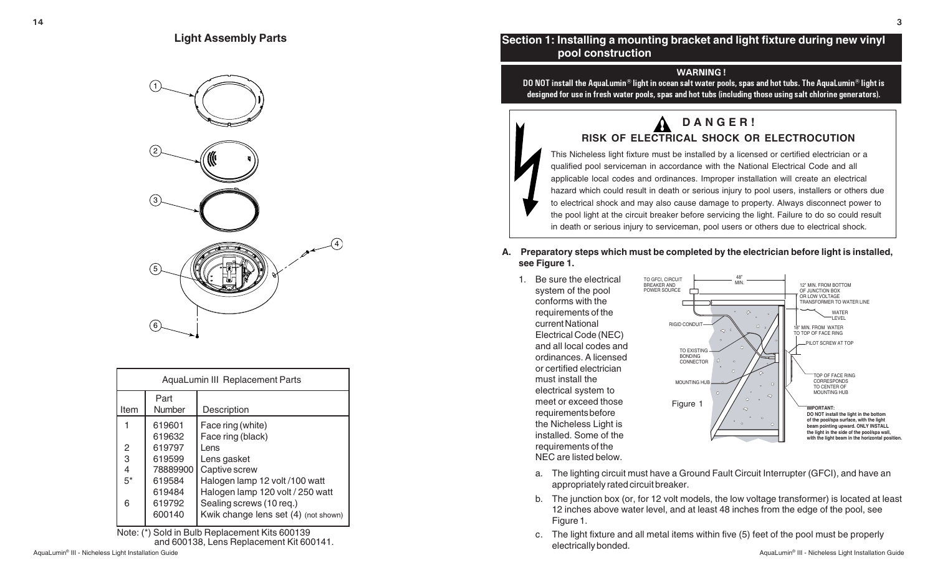#### **Light Assembly Parts**



 $\sqrt{4}$ 

| AquaLumin III Replacement Parts |                       |                                        |  |  |
|---------------------------------|-----------------------|----------------------------------------|--|--|
| Item                            | Part<br><b>Number</b> | Description                            |  |  |
|                                 | 619601<br>619632      | Face ring (white)<br>Face ring (black) |  |  |
| 2                               | 619797                | Lens                                   |  |  |
| 3                               | 619599                | Lens gasket                            |  |  |
| 4                               | 78889900              | Captive screw                          |  |  |
| $5^*$                           | 619584                | Halogen lamp 12 volt /100 watt         |  |  |
|                                 | 619484                | Halogen lamp 120 volt / 250 watt       |  |  |
| 6                               | 619792                | Sealing screws (10 req.)               |  |  |
|                                 | 600140                | Kwik change lens set (4) (not shown)   |  |  |

Note: (\*) Sold in Bulb Replacement Kits 600139 and 600138, Lens Replacement Kit 600141.

#### **Section 1: Installing a mounting bracket and light fixture during new vinyl pool construction**

#### WARNING !

DO NOT install the AquaLumin® light in ocean salt water pools, spas and hot tubs. The AquaLumin® light is designed for use in fresh water pools, spas and hot tubs (including those using salt chlorine generators).

# **D A N G E R ! RISK OF ELECTRICAL SHOCK OR ELECTROCUTION**

This Nicheless light fixture must be installed by a licensed or certified electrician or a qualified pool serviceman in accordance with the National Electrical Code and all applicable local codes and ordinances. Improper installation will create an electrical hazard which could result in death or serious injury to pool users, installers or others due to electrical shock and may also cause damage to property. Always disconnect power to the pool light at the circuit breaker before servicing the light. Failure to do so could result in death or serious injury to serviceman, pool users or others due to electrical shock.

- **A. Preparatory steps which must be completed by the electrician before light is installed, see Figure 1.**
	- 1. Be sure the electricalsystem of the pool conforms with therequirements of the current NationalElectrical Code (NEC) and all local codes andordinances. A licensedor certified electricianmust install theelectrical system to meet or exceed thoserequirements before the Nicheless Light is installed. Some of therequirements of the NEC are listed below.



- a. The lighting circuit must have a Ground Fault Circuit Interrupter (GFCI), and have an appropriately rated circuit breaker.
- b. The junction box (or, for 12 volt models, the low voltage transformer) is located at least 12 inches above water level, and at least 48 inches from the edge of the pool, see Figure 1.
- AquaLumin® III Nicheless Light Installation Guide **including the State of Controlling Controlling Controlling** Concerned. AquaLumin<sup>®</sup> III Nicheless Light Installation Guide **AguaLuming III** Nicheless Light Installat c. The light fixture and all metal items within five (5) feet of the pool must be properly electrically bonded.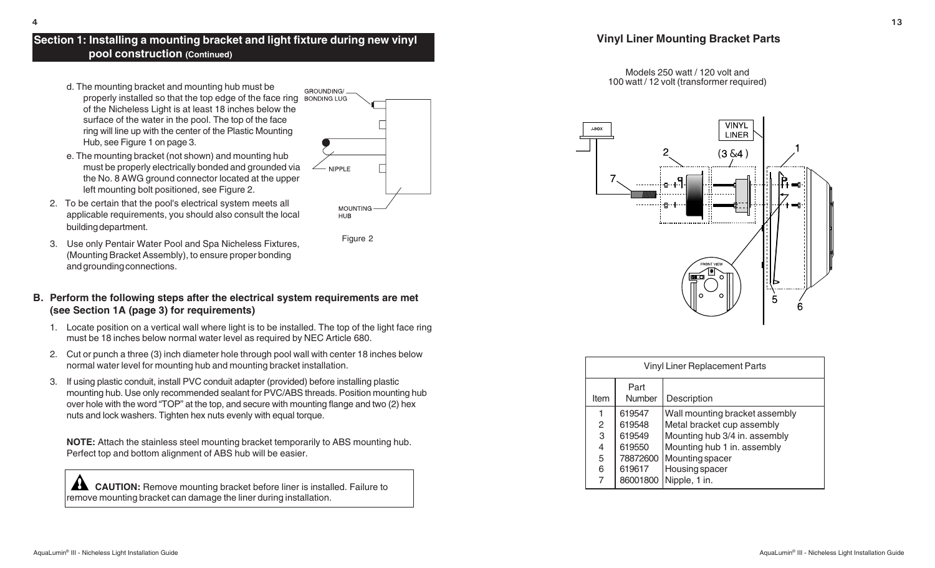### **Section 1: Installing a mounting bracket and light fixture during new vinyl pool construction (Continued)**

d. The mounting bracket and mounting hub must be GROUNDING/ properly installed so that the top edge of the face ring of the Nicheless Light is at least 18 inches below the surface of the water in the pool. The top of the face ring will line up with the center of the Plastic Mounting Hub, see Figure 1 on page 3.



- e. The mounting bracket (not shown) and mounting hub must be properly electrically bonded and grounded via the No. 8 AWG ground connector located at the upper left mounting bolt positioned, see Figure 2.
- 2. To be certain that the pool's electrical system meets all applicable requirements, you should also consult the local building department.
- Figure 2

**MOUNTING HUB** 

- 3. Use only Pentair Water Pool and Spa Nicheless Fixtures, (Mounting Bracket Assembly), to ensure proper bonding and grounding connections.
- **B. Perform the following steps after the electrical system requirements are met (see Section 1A (page 3) for requirements)**
	- 1. Locate position on a vertical wall where light is to be installed. The top of the light face ring must be 18 inches below normal water level as required by NEC Article 680.
	- 2. Cut or punch a three (3) inch diameter hole through pool wall with center 18 inches below normal water level for mounting hub and mounting bracket installation.
	- 3. If using plastic conduit, install PVC conduit adapter (provided) before installing plastic mounting hub. Use only recommended sealant for PVC/ABS threads. Position mounting hub over hole with the word "TOP" at the top, and secure with mounting flange and two (2) hex nuts and lock washers. Tighten hex nuts evenly with equal torque.

**NOTE:** Attach the stainless steel mounting bracket temporarily to ABS mounting hub. Perfect top and bottom alignment of ABS hub will be easier.

**AL CAUTION:** Remove mounting bracket before liner is installed. Failure to remove mounting bracket can damage the liner during installation.

#### **Vinyl Liner Mounting Bracket Parts**

Models 250 watt / 120 volt and100 watt / 12 volt (transformer required)



| <b>Vinyl Liner Replacement Parts</b> |                |                                |  |  |
|--------------------------------------|----------------|--------------------------------|--|--|
| Item                                 | Part<br>Number | Description                    |  |  |
|                                      | 619547         | Wall mounting bracket assembly |  |  |
| 2                                    | 619548         | Metal bracket cup assembly     |  |  |
| 3                                    | 619549         | Mounting hub 3/4 in. assembly  |  |  |
| 4                                    | 619550         | Mounting hub 1 in. assembly    |  |  |
| 5                                    | 78872600       | Mounting spacer                |  |  |
| 6                                    | 619617         | Housing spacer                 |  |  |
|                                      | 86001800       | Nipple, 1 in.                  |  |  |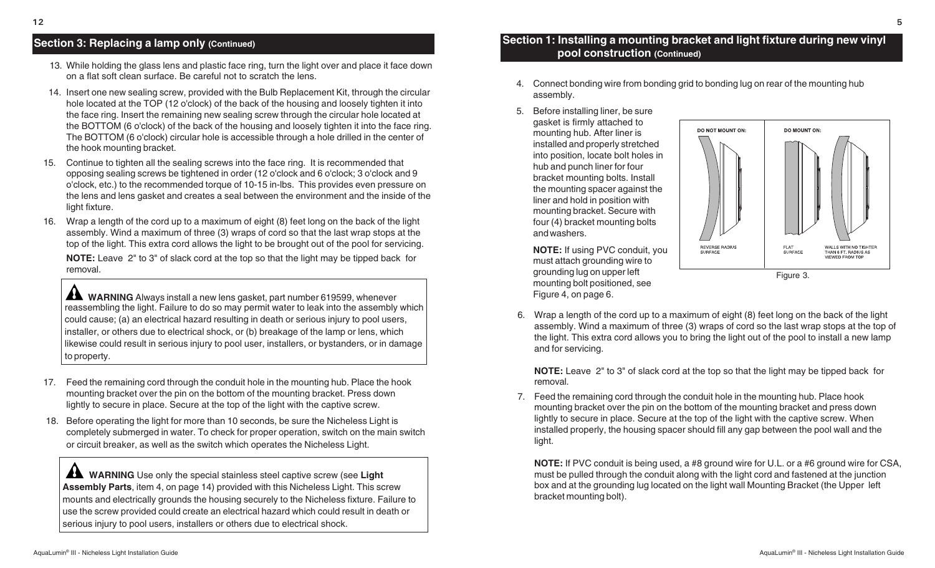## **Section 3: Replacing a lamp only (Continued)**

- 13. While holding the glass lens and plastic face ring, turn the light over and place it face down on a flat soft clean surface. Be careful not to scratch the lens.
- 14. Insert one new sealing screw, provided with the Bulb Replacement Kit, through the circular hole located at the TOP (12 o'clock) of the back of the housing and loosely tighten it into the face ring. Insert the remaining new sealing screw through the circular hole located at the BOTTOM (6 o'clock) of the back of the housing and loosely tighten it into the face ring. The BOTTOM (6 o'clock) circular hole is accessible through a hole drilled in the center of the hook mounting bracket.
- 15. Continue to tighten all the sealing screws into the face ring. It is recommended that opposing sealing screws be tightened in order (12 o'clock and 6 o'clock; 3 o'clock and 9 <sup>o</sup>'clock, etc.) to the recommended torque of 10-15 in-lbs. This provides even pressure on the lens and lens gasket and creates a seal between the environment and the inside of the light fixture.
- 16. Wrap a length of the cord up to a maximum of eight (8) feet long on the back of the light assembly. Wind a maximum of three (3) wraps of cord so that the last wrap stops at the top of the light. This extra cord allows the light to be brought out of the pool for servicing.

**NOTE:** Leave 2" to 3" of slack cord at the top so that the light may be tipped back for removal.

**M** WARNING Always install a new lens gasket, part number 619599, whenever reassembling the light. Failure to do so may permit water to leak into the assembly which could cause; (a) an electrical hazard resulting in death or serious injury to pool users, installer, or others due to electrical shock, or (b) breakage of the lamp or lens, which likewise could result in serious injury to pool user, installers, or bystanders, or in damage to property.

- 17. Feed the remaining cord through the conduit hole in the mounting hub. Place the hook mounting bracket over the pin on the bottom of the mounting bracket. Press down lightly to secure in place. Secure at the top of the light with the captive screw.
- 18. Before operating the light for more than 10 seconds, be sure the Nicheless Light is completely submerged in water. To check for proper operation, switch on the main switch or circuit breaker, as well as the switch which operates the Nicheless Light.

 **WARNING** Use only the special stainless steel captive screw (see **Light Assembly Parts**, item 4, on page 14) provided with this Nicheless Light. This screw mounts and electrically grounds the housing securely to the Nicheless fixture. Failure to use the screw provided could create an electrical hazard which could result in death or serious injury to pool users, installers or others due to electrical shock.

#### **Section 1: Installing a mounting bracket and light fixture during new vinyl pool construction (Continued)**

- 4. Connect bonding wire from bonding grid to bonding lug on rear of the mounting hub assembly.
- 5. Before installing liner, be sure gasket is firmly attached to mounting hub. After liner is installed and properly stretched into position, locate bolt holes in hub and punch liner for four bracket mounting bolts. Install the mounting spacer against the liner and hold in position with mounting bracket. Secure with four (4) bracket mounting bolts and washers.

**NOTE:** If using PVC conduit, you must attach grounding wire to grounding lug on upper left mounting bolt positioned, see Figure 4, on page 6.



6. Wrap a length of the cord up to a maximum of eight (8) feet long on the back of the light assembly. Wind a maximum of three (3) wraps of cord so the last wrap stops at the top of the light. This extra cord allows you to bring the light out of the pool to install a new lamp and for servicing.

**NOTE:** Leave 2" to 3" of slack cord at the top so that the light may be tipped back for removal.

7. Feed the remaining cord through the conduit hole in the mounting hub. Place hook mounting bracket over the pin on the bottom of the mounting bracket and press down lightly to secure in place. Secure at the top of the light with the captive screw. When installed properly, the housing spacer should fill any gap between the pool wall and the light.

**NOTE:** If PVC conduit is being used, a #8 ground wire for U.L. or a #6 ground wire for CSA, must be pulled through the conduit along with the light cord and fastened at the junction box and at the grounding lug located on the light wall Mounting Bracket (the Upper left bracket mounting bolt).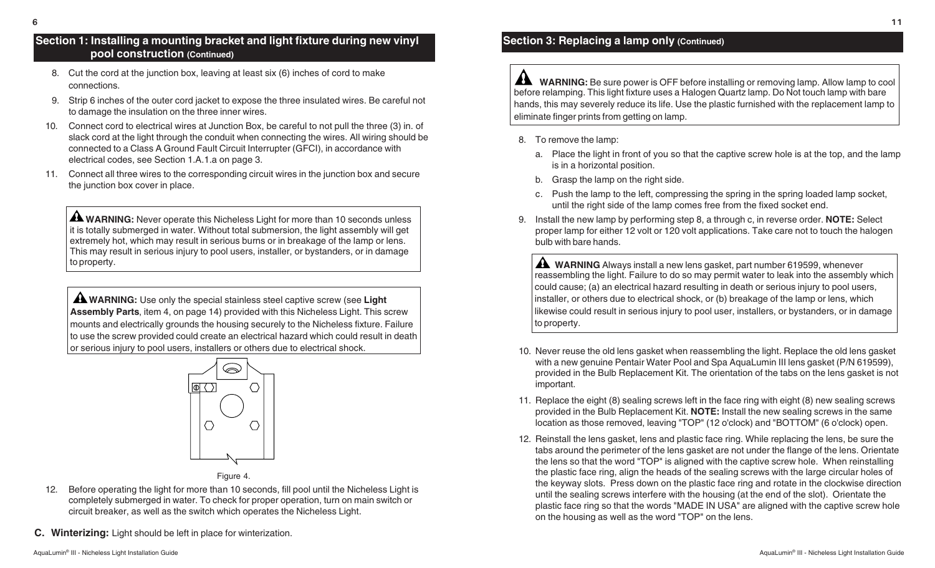#### **Section 1: Installing a mounting bracket and light fixture during new vinyl pool construction (Continued)**

- 8. Cut the cord at the junction box, leaving at least six (6) inches of cord to make connections.
- 9. Strip 6 inches of the outer cord jacket to expose the three insulated wires. Be careful not to damage the insulation on the three inner wires.
- 10. Connect cord to electrical wires at Junction Box, be careful to not pull the three (3) in. of slack cord at the light through the conduit when connecting the wires. All wiring should be connected to a Class A Ground Fault Circuit Interrupter (GFCI), in accordance with electrical codes, see Section 1.A.1.a on page 3.
- 11. Connect all three wires to the corresponding circuit wires in the junction box and secure the junction box cover in place.

 **WARNING:** Never operate this Nicheless Light for more than 10 seconds unless it is totally submerged in water. Without total submersion, the light assembly will get extremely hot, which may result in serious burns or in breakage of the lamp or lens. This may result in serious injury to pool users, installer, or bystanders, or in damage to property.

 **WARNING:** Use only the special stainless steel captive screw (see **Light Assembly Parts**, item 4, on page 14) provided with this Nicheless Light. This screw mounts and electrically grounds the housing securely to the Nicheless fixture. Failure to use the screw provided could create an electrical hazard which could result in death or serious injury to pool users, installers or others due to electrical shock.



#### Figure 4.

- 12. Before operating the light for more than 10 seconds, fill pool until the Nicheless Light is completely submerged in water. To check for proper operation, turn on main switch or circuit breaker, as well as the switch which operates the Nicheless Light.
- **C. Winterizing:** Light should be left in place for winterization.

### **Section 3: Replacing a lamp only (Continued)**

**MARNING:** Be sure power is OFF before installing or removing lamp. Allow lamp to cool before relamping. This light fixture uses a Halogen Quartz lamp. Do Not touch lamp with bare hands, this may severely reduce its life. Use the plastic furnished with the replacement lamp to eliminate finger prints from getting on lamp.

- 8. To remove the lamp:
	- a. Place the light in front of you so that the captive screw hole is at the top, and the lamp is in a horizontal position.
	- b. Grasp the lamp on the right side.
	- c. Push the lamp to the left, compressing the spring in the spring loaded lamp socket, until the right side of the lamp comes free from the fixed socket end.
- 9. Install the new lamp by performing step 8, a through c, in reverse order. **NOTE:** Select proper lamp for either 12 volt or 120 volt applications. Take care not to touch the halogen bulb with bare hands.

 **WARNING** Always install a new lens gasket, part number 619599, whenever reassembling the light. Failure to do so may permit water to leak into the assembly which could cause; (a) an electrical hazard resulting in death or serious injury to pool users, installer, or others due to electrical shock, or (b) breakage of the lamp or lens, which likewise could result in serious injury to pool user, installers, or bystanders, or in damage to property.

- 10. Never reuse the old lens gasket when reassembling the light. Replace the old lens gasket with a new genuine Pentair Water Pool and Spa AquaLumin III lens gasket (P/N 619599), provided in the Bulb Replacement Kit. The orientation of the tabs on the lens gasket is not important.
- 11. Replace the eight (8) sealing screws left in the face ring with eight (8) new sealing screws provided in the Bulb Replacement Kit. **NOTE:** Install the new sealing screws in the same location as those removed, leaving "TOP" (12 o'clock) and "BOTTOM" (6 o'clock) open.
- 12. Reinstall the lens gasket, lens and plastic face ring. While replacing the lens, be sure the tabs around the perimeter of the lens gasket are not under the flange of the lens. Orientate the lens so that the word "TOP" is aligned with the captive screw hole. When reinstalling the plastic face ring, align the heads of the sealing screws with the large circular holes of the keyway slots. Press down on the plastic face ring and rotate in the clockwise direction until the sealing screws interfere with the housing (at the end of the slot). Orientate the plastic face ring so that the words "MADE IN USA" are aligned with the captive screw hole on the housing as well as the word "TOP" on the lens.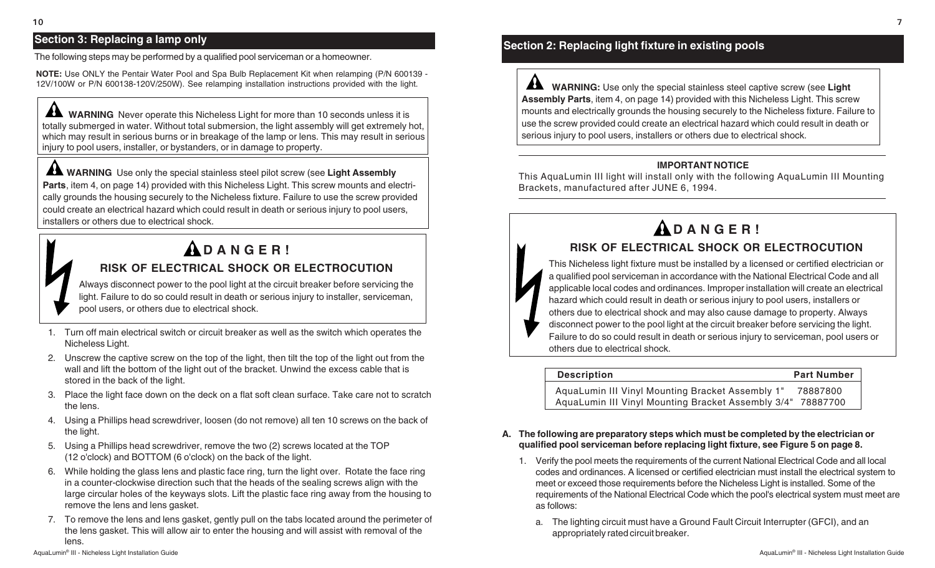# **Section 3: Replacing a lamp only**

The following steps may be performed by a qualified pool serviceman or a homeowner.

**NOTE:** Use ONLY the Pentair Water Pool and Spa Bulb Replacement Kit when relamping (P/N 600139 - 12V/100W or P/N 600138-120V/250W). See relamping installation instructions provided with the light.

**MARNING** Never operate this Nicheless Light for more than 10 seconds unless it is totally submerged in water. Without total submersion, the light assembly will get extremely hot, which may result in serious burns or in breakage of the lamp or lens. This may result in serious injury to pool users, installer, or bystanders, or in damage to property.

 **WARNING** Use only the special stainless steel pilot screw (see **Light Assembly Parts**, item 4, on page 14) provided with this Nicheless Light. This screw mounts and electrically grounds the housing securely to the Nicheless fixture. Failure to use the screw provided could create an electrical hazard which could result in death or serious injury to pool users, installers or others due to electrical shock.

# **D A N G E R !**

# **RISK OF ELECTRICAL SHOCK OR ELECTROCUTION**

Always disconnect power to the pool light at the circuit breaker before servicing the light. Failure to do so could result in death or serious injury to installer, serviceman, pool users, or others due to electrical shock.

- 1. Turn off main electrical switch or circuit breaker as well as the switch which operates the Nicheless Light.
- 2. Unscrew the captive screw on the top of the light, then tilt the top of the light out from the wall and lift the bottom of the light out of the bracket. Unwind the excess cable that is stored in the back of the light.
- 3. Place the light face down on the deck on a flat soft clean surface. Take care not to scratch the lens.
- 4. Using a Phillips head screwdriver, loosen (do not remove) all ten 10 screws on the back of the light.
- 5. Using a Phillips head screwdriver, remove the two (2) screws located at the TOP (12 o'clock) and BOTTOM (6 o'clock) on the back of the light.
- 6. While holding the glass lens and plastic face ring, turn the light over. Rotate the face ring in a counter-clockwise direction such that the heads of the sealing screws align with the large circular holes of the keyways slots. Lift the plastic face ring away from the housing to remove the lens and lens gasket.
- 7. To remove the lens and lens gasket, gently pull on the tabs located around the perimeter of the lens gasket. This will allow air to enter the housing and will assist with removal of the lens.

## **Section 2: Replacing light fixture in existing pools**

 **WARNING:** Use only the special stainless steel captive screw (see **Light Assembly Parts**, item 4, on page 14) provided with this Nicheless Light. This screw mounts and electrically grounds the housing securely to the Nicheless fixture. Failure to use the screw provided could create an electrical hazard which could result in death or serious injury to pool users, installers or others due to electrical shock.

#### **IMPORTANT NOTICE**

This AquaLumin III light will install only with the following AquaLumin III Mounting Brackets, manufactured after JUNE 6, 1994.



| <b>Description</b>                                          | <b>Part Number</b> |
|-------------------------------------------------------------|--------------------|
| AquaLumin III Vinyl Mounting Bracket Assembly 1"            | 78887800           |
| AquaLumin III Vinyl Mounting Bracket Assembly 3/4" 78887700 |                    |

#### **A. The following are preparatory steps which must be completed by the electrician or qualified pool serviceman before replacing light fixture, see Figure 5 on page 8.**

- 1. Verify the pool meets the requirements of the current National Electrical Code and all local codes and ordinances. A licensed or certified electrician must install the electrical system to meet or exceed those requirements before the Nicheless Light is installed. Some of the requirements of the National Electrical Code which the pool's electrical system must meet are as follows:
	- a. The lighting circuit must have a Ground Fault Circuit Interrupter (GFCI), and an appropriately rated circuit breaker.